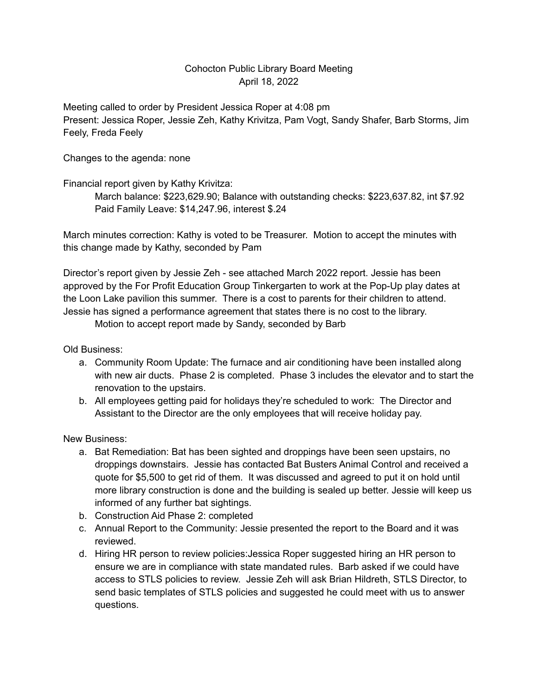## Cohocton Public Library Board Meeting April 18, 2022

Meeting called to order by President Jessica Roper at 4:08 pm Present: Jessica Roper, Jessie Zeh, Kathy Krivitza, Pam Vogt, Sandy Shafer, Barb Storms, Jim Feely, Freda Feely

Changes to the agenda: none

Financial report given by Kathy Krivitza:

March balance: \$223,629.90; Balance with outstanding checks: \$223,637.82, int \$7.92 Paid Family Leave: \$14,247.96, interest \$.24

March minutes correction: Kathy is voted to be Treasurer. Motion to accept the minutes with this change made by Kathy, seconded by Pam

Director's report given by Jessie Zeh - see attached March 2022 report. Jessie has been approved by the For Profit Education Group Tinkergarten to work at the Pop-Up play dates at the Loon Lake pavilion this summer. There is a cost to parents for their children to attend. Jessie has signed a performance agreement that states there is no cost to the library.

Motion to accept report made by Sandy, seconded by Barb

Old Business:

- a. Community Room Update: The furnace and air conditioning have been installed along with new air ducts. Phase 2 is completed. Phase 3 includes the elevator and to start the renovation to the upstairs.
- b. All employees getting paid for holidays they're scheduled to work: The Director and Assistant to the Director are the only employees that will receive holiday pay.

New Business:

- a. Bat Remediation: Bat has been sighted and droppings have been seen upstairs, no droppings downstairs. Jessie has contacted Bat Busters Animal Control and received a quote for \$5,500 to get rid of them. It was discussed and agreed to put it on hold until more library construction is done and the building is sealed up better. Jessie will keep us informed of any further bat sightings.
- b. Construction Aid Phase 2: completed
- c. Annual Report to the Community: Jessie presented the report to the Board and it was reviewed.
- d. Hiring HR person to review policies:Jessica Roper suggested hiring an HR person to ensure we are in compliance with state mandated rules. Barb asked if we could have access to STLS policies to review. Jessie Zeh will ask Brian Hildreth, STLS Director, to send basic templates of STLS policies and suggested he could meet with us to answer questions.